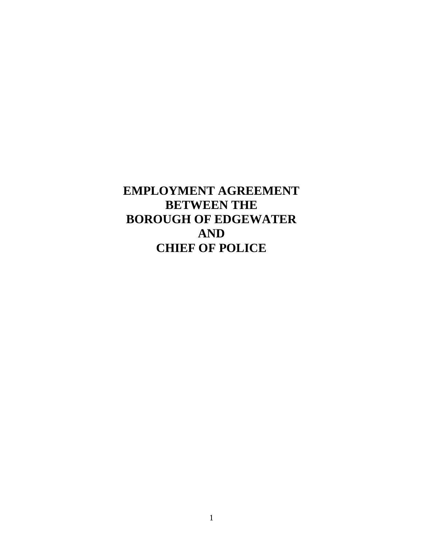**EMPLOYMENT AGREEMENT BETWEEN THE BOROUGH OF EDGEWATER AND CHIEF OF POLICE**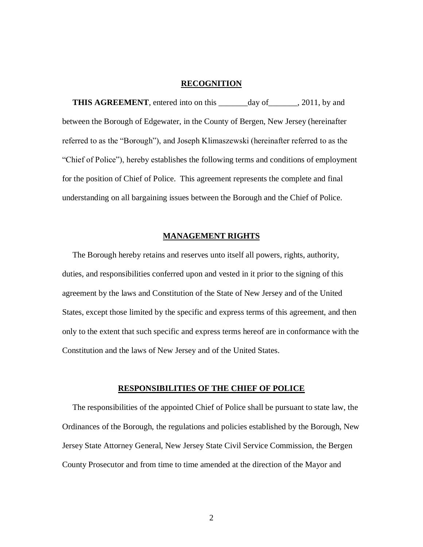# **RECOGNITION**

 **THIS AGREEMENT**, entered into on this \_\_\_\_\_\_\_day of\_\_\_\_\_\_\_, 2011, by and between the Borough of Edgewater, in the County of Bergen, New Jersey (hereinafter referred to as the "Borough"), and Joseph Klimaszewski (hereinafter referred to as the "Chief of Police"), hereby establishes the following terms and conditions of employment for the position of Chief of Police. This agreement represents the complete and final understanding on all bargaining issues between the Borough and the Chief of Police.

# **MANAGEMENT RIGHTS**

 The Borough hereby retains and reserves unto itself all powers, rights, authority, duties, and responsibilities conferred upon and vested in it prior to the signing of this agreement by the laws and Constitution of the State of New Jersey and of the United States, except those limited by the specific and express terms of this agreement, and then only to the extent that such specific and express terms hereof are in conformance with the Constitution and the laws of New Jersey and of the United States.

## **RESPONSIBILITIES OF THE CHIEF OF POLICE**

 The responsibilities of the appointed Chief of Police shall be pursuant to state law, the Ordinances of the Borough, the regulations and policies established by the Borough, New Jersey State Attorney General, New Jersey State Civil Service Commission, the Bergen County Prosecutor and from time to time amended at the direction of the Mayor and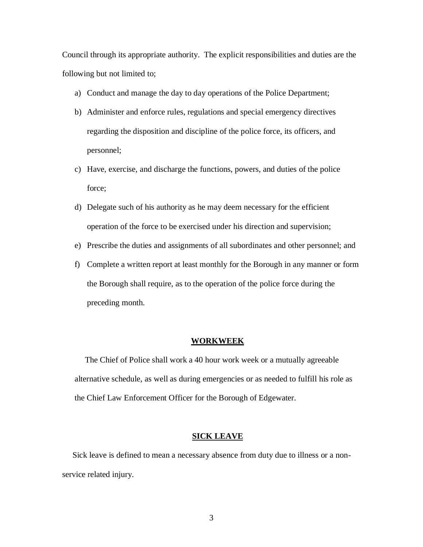Council through its appropriate authority. The explicit responsibilities and duties are the following but not limited to;

- a) Conduct and manage the day to day operations of the Police Department;
- b) Administer and enforce rules, regulations and special emergency directives regarding the disposition and discipline of the police force, its officers, and personnel;
- c) Have, exercise, and discharge the functions, powers, and duties of the police force;
- d) Delegate such of his authority as he may deem necessary for the efficient operation of the force to be exercised under his direction and supervision;
- e) Prescribe the duties and assignments of all subordinates and other personnel; and
- f) Complete a written report at least monthly for the Borough in any manner or form the Borough shall require, as to the operation of the police force during the preceding month.

### **WORKWEEK**

 The Chief of Police shall work a 40 hour work week or a mutually agreeable alternative schedule, as well as during emergencies or as needed to fulfill his role as the Chief Law Enforcement Officer for the Borough of Edgewater.

## **SICK LEAVE**

 Sick leave is defined to mean a necessary absence from duty due to illness or a nonservice related injury.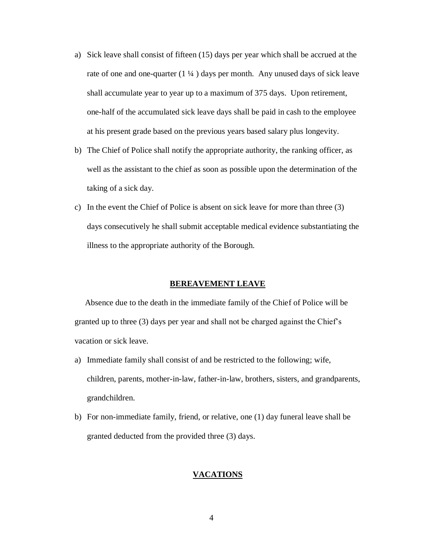- a) Sick leave shall consist of fifteen (15) days per year which shall be accrued at the rate of one and one-quarter  $(1 \frac{1}{4})$  days per month. Any unused days of sick leave shall accumulate year to year up to a maximum of 375 days. Upon retirement, one-half of the accumulated sick leave days shall be paid in cash to the employee at his present grade based on the previous years based salary plus longevity.
- b) The Chief of Police shall notify the appropriate authority, the ranking officer, as well as the assistant to the chief as soon as possible upon the determination of the taking of a sick day.
- c) In the event the Chief of Police is absent on sick leave for more than three (3) days consecutively he shall submit acceptable medical evidence substantiating the illness to the appropriate authority of the Borough.

#### **BEREAVEMENT LEAVE**

 Absence due to the death in the immediate family of the Chief of Police will be granted up to three (3) days per year and shall not be charged against the Chief's vacation or sick leave.

- a) Immediate family shall consist of and be restricted to the following; wife, children, parents, mother-in-law, father-in-law, brothers, sisters, and grandparents, grandchildren.
- b) For non-immediate family, friend, or relative, one (1) day funeral leave shall be granted deducted from the provided three (3) days.

# **VACATIONS**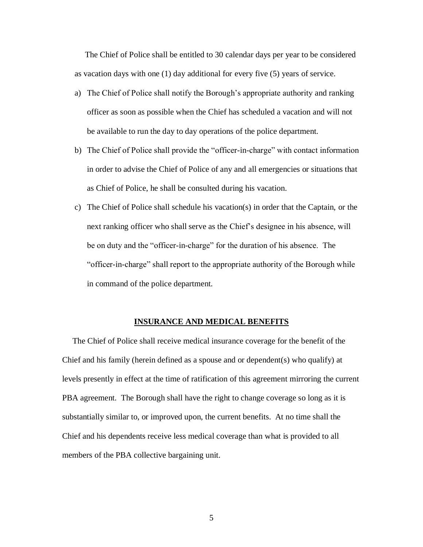The Chief of Police shall be entitled to 30 calendar days per year to be considered as vacation days with one (1) day additional for every five (5) years of service.

- a) The Chief of Police shall notify the Borough's appropriate authority and ranking officer as soon as possible when the Chief has scheduled a vacation and will not be available to run the day to day operations of the police department.
- b) The Chief of Police shall provide the "officer-in-charge" with contact information in order to advise the Chief of Police of any and all emergencies or situations that as Chief of Police, he shall be consulted during his vacation.
- c) The Chief of Police shall schedule his vacation(s) in order that the Captain, or the next ranking officer who shall serve as the Chief's designee in his absence, will be on duty and the "officer-in-charge" for the duration of his absence. The "officer-in-charge" shall report to the appropriate authority of the Borough while in command of the police department.

#### **INSURANCE AND MEDICAL BENEFITS**

 The Chief of Police shall receive medical insurance coverage for the benefit of the Chief and his family (herein defined as a spouse and or dependent(s) who qualify) at levels presently in effect at the time of ratification of this agreement mirroring the current PBA agreement. The Borough shall have the right to change coverage so long as it is substantially similar to, or improved upon, the current benefits. At no time shall the Chief and his dependents receive less medical coverage than what is provided to all members of the PBA collective bargaining unit.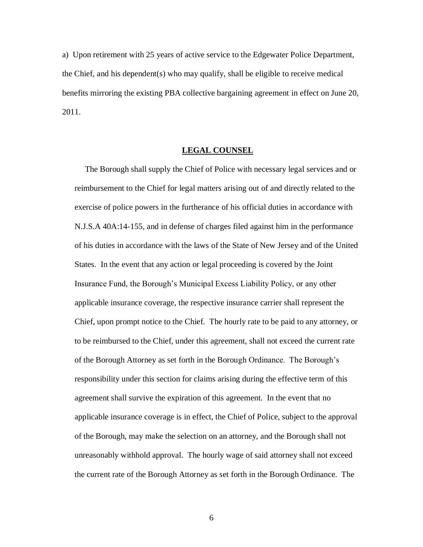a) Upon retirement with 25 years of active service to the Edgewater Police Department, the Chief, and his dependent(s) who may qualify, shall be eligible to receive medical benefits mirroring the existing PBA collective bargaining agreement in effect on June 20, 2011.

# **LEGAL COUNSEL**

 The Borough shall supply the Chief of Police with necessary legal services and or reimbursement to the Chief for legal matters arising out of and directly related to the exercise of police powers in the furtherance of his official duties in accordance with N.J.S.A 40A:14-155, and in defense of charges filed against him in the performance of his duties in accordance with the laws of the State of New Jersey and of the United States. In the event that any action or legal proceeding is covered by the Joint Insurance Fund, the Borough's Municipal Excess Liability Policy, or any other applicable insurance coverage, the respective insurance carrier shall represent the Chief, upon prompt notice to the Chief. The hourly rate to be paid to any attorney, or to be reimbursed to the Chief, under this agreement, shall not exceed the current rate of the Borough Attorney as set forth in the Borough Ordinance. The Borough's responsibility under this section for claims arising during the effective term of this agreement shall survive the expiration of this agreement. In the event that no applicable insurance coverage is in effect, the Chief of Police, subject to the approval of the Borough, may make the selection on an attorney, and the Borough shall not unreasonably withhold approval. The hourly wage of said attorney shall not exceed the current rate of the Borough Attorney as set forth in the Borough Ordinance. The

6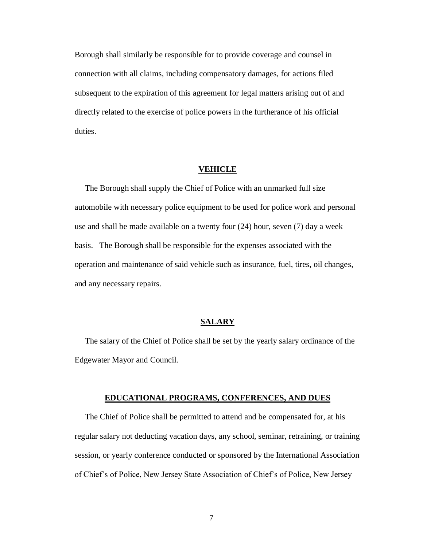Borough shall similarly be responsible for to provide coverage and counsel in connection with all claims, including compensatory damages, for actions filed subsequent to the expiration of this agreement for legal matters arising out of and directly related to the exercise of police powers in the furtherance of his official duties.

## **VEHICLE**

 The Borough shall supply the Chief of Police with an unmarked full size automobile with necessary police equipment to be used for police work and personal use and shall be made available on a twenty four (24) hour, seven (7) day a week basis. The Borough shall be responsible for the expenses associated with the operation and maintenance of said vehicle such as insurance, fuel, tires, oil changes, and any necessary repairs.

# **SALARY**

 The salary of the Chief of Police shall be set by the yearly salary ordinance of the Edgewater Mayor and Council.

## **EDUCATIONAL PROGRAMS, CONFERENCES, AND DUES**

 The Chief of Police shall be permitted to attend and be compensated for, at his regular salary not deducting vacation days, any school, seminar, retraining, or training session, or yearly conference conducted or sponsored by the International Association of Chief's of Police, New Jersey State Association of Chief's of Police, New Jersey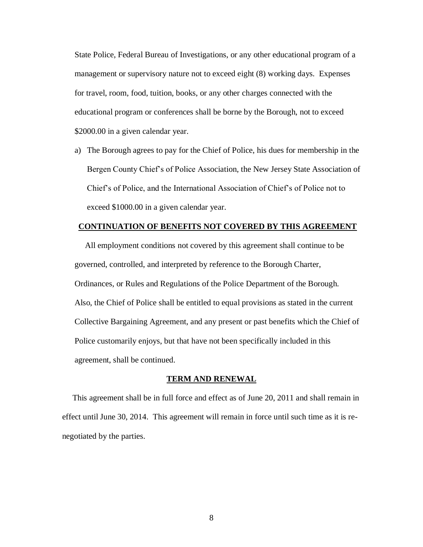State Police, Federal Bureau of Investigations, or any other educational program of a management or supervisory nature not to exceed eight (8) working days. Expenses for travel, room, food, tuition, books, or any other charges connected with the educational program or conferences shall be borne by the Borough, not to exceed \$2000.00 in a given calendar year.

a) The Borough agrees to pay for the Chief of Police, his dues for membership in the Bergen County Chief's of Police Association, the New Jersey State Association of Chief's of Police, and the International Association of Chief's of Police not to exceed \$1000.00 in a given calendar year.

# **CONTINUATION OF BENEFITS NOT COVERED BY THIS AGREEMENT**

 All employment conditions not covered by this agreement shall continue to be governed, controlled, and interpreted by reference to the Borough Charter, Ordinances, or Rules and Regulations of the Police Department of the Borough. Also, the Chief of Police shall be entitled to equal provisions as stated in the current Collective Bargaining Agreement, and any present or past benefits which the Chief of Police customarily enjoys, but that have not been specifically included in this agreement, shall be continued.

## **TERM AND RENEWAL**

 This agreement shall be in full force and effect as of June 20, 2011 and shall remain in effect until June 30, 2014. This agreement will remain in force until such time as it is renegotiated by the parties.